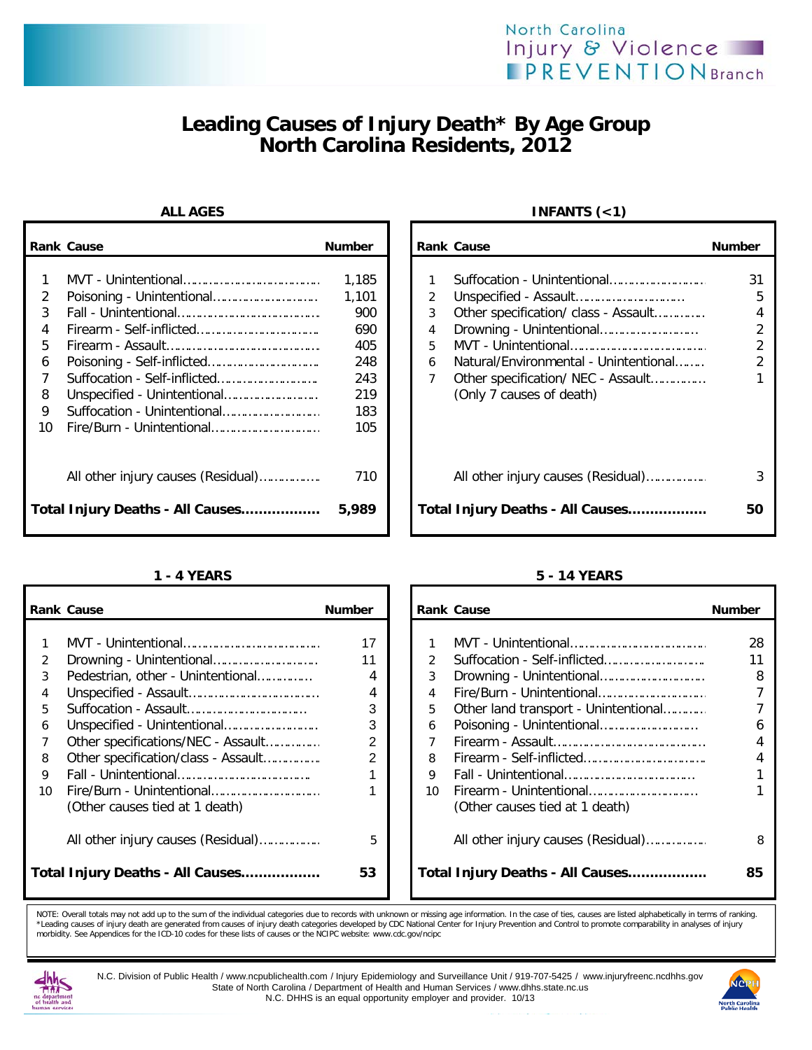## North Carolina Injury & Violence **IPREVENTION** Branch

# **Leading Causes of Injury Death\* By Age Group North Carolina Residents, 2012**

|                                   | <b>Rank Cause</b>                                                      | <b>Number</b>                                                          |                       | <b>Rank Cause</b>                                                                                                                                                    | <b>Number</b>          |
|-----------------------------------|------------------------------------------------------------------------|------------------------------------------------------------------------|-----------------------|----------------------------------------------------------------------------------------------------------------------------------------------------------------------|------------------------|
| 2<br>3<br>5.<br>6<br>8<br>9<br>10 | Suffocation - Unintentional                                            | 1,185<br>1,101<br>900<br>690<br>405<br>248<br>243<br>219<br>183<br>105 | 2<br>3<br>4<br>5<br>6 | Suffocation - Unintentional<br>Other specification/ class - Assault<br>Drowning - Unintentional<br>Natural/Environmental - Unintentional<br>(Only 7 causes of death) | 31<br>5<br>4<br>2<br>2 |
|                                   | All other injury causes (Residual)<br>Total Injury Deaths - All Causes | 710<br>5,989                                                           |                       | All other injury causes (Residual)<br>Total Injury Deaths - All Causes                                                                                               | 50                     |

|    | <b>Rank Cause</b>                   | <b>Number</b> |    | <b>Rank Cause</b>              |                                      | <b>Number</b> |
|----|-------------------------------------|---------------|----|--------------------------------|--------------------------------------|---------------|
|    |                                     |               |    |                                |                                      |               |
|    |                                     | 17            |    |                                |                                      | 28            |
|    |                                     | 11            |    |                                |                                      | 11            |
| 3  | Pedestrian, other - Unintentional   | 4             | 3  |                                |                                      | 8             |
| 4  |                                     | 4             | 4  |                                |                                      |               |
| 5. |                                     | 3             | 5  |                                | Other land transport - Unintentional |               |
| 6  |                                     | 3             | 6  |                                |                                      | 6             |
|    | Other specifications/NEC - Assault  | 2             |    |                                |                                      |               |
| 8  | Other specification/class - Assault | 2             | 8  |                                |                                      |               |
| 9  |                                     |               | 9  |                                |                                      |               |
| 10 |                                     |               | 10 |                                |                                      |               |
|    | (Other causes tied at 1 death)      |               |    | (Other causes tied at 1 death) |                                      |               |
|    | All other injury causes (Residual)  | 5             |    |                                | All other injury causes (Residual)   | ε             |
|    | Total Injury Deaths - All Causes    | 53            |    |                                | Total Injury Deaths - All Causes     | 85            |

## **ALL AGES INFANTS (<1)**

|                                                               | ank Cause                                                             | <b>Number</b>                                                          |                                                 | <b>Rank Cause</b>                                                                                                                        | <b>Number</b> |
|---------------------------------------------------------------|-----------------------------------------------------------------------|------------------------------------------------------------------------|-------------------------------------------------|------------------------------------------------------------------------------------------------------------------------------------------|---------------|
| 1<br>$\overline{2}$<br>3<br>4<br>5<br>6<br>7<br>8<br>9.<br>١O |                                                                       | 1,185<br>1.101<br>900<br>690<br>405<br>248<br>243<br>219<br>183<br>105 | 3<br>$\overline{4}$<br>5<br>6<br>$\overline{7}$ | Suffocation - Unintentional<br>Other specification/ class - Assault<br>Natural/Environmental - Unintentional<br>(Only 7 causes of death) | 31<br>5       |
|                                                               | All other injury causes (Residual)<br>otal Injury Deaths - All Causes | 710<br>5,989                                                           |                                                 | All other injury causes (Residual)<br>Total Injury Deaths - All Causes                                                                   | 50            |

### **1 - 4 YEARS 5 - 14 YEARS**

|    | ank Cause                           | <b>Number</b>  |               | <b>Rank Cause</b>                    | <b>Number</b> |
|----|-------------------------------------|----------------|---------------|--------------------------------------|---------------|
|    |                                     |                |               |                                      |               |
| 1  |                                     | 17             |               |                                      | 28            |
| 2  |                                     | 11             | $\mathcal{P}$ |                                      | 11            |
| 3  | Pedestrian, other - Unintentional   | 4              | 3             |                                      | 8             |
| 4  |                                     | 4              | 4             |                                      |               |
| 5  |                                     | 3              | 5.            | Other land transport - Unintentional |               |
| 6  |                                     | 3              | 6             |                                      | 6             |
| 7  | Other specifications/NEC - Assault  | 2              |               |                                      | 4             |
| 8  | Other specification/class - Assault | $\overline{2}$ | 8             |                                      | 4             |
| 9  |                                     |                | 9             |                                      |               |
| ۱n |                                     |                | 10            |                                      |               |
|    | (Other causes tied at 1 death)      |                |               | (Other causes tied at 1 death)       |               |
|    |                                     |                |               |                                      |               |
|    | All other injury causes (Residual)  | 5              |               | All other injury causes (Residual)   | 8             |
|    | otal Injury Deaths - All Causes     | 53             |               | Total Injury Deaths - All Causes     | 85            |
|    |                                     |                |               |                                      |               |

NOTE: Overall totals may not add up to the sum of the individual categories due to records with unknown or missing age information. In the case of ties, causes are listed alphabetically in terms of ranking<br>\*Leading causes morbidity. See Appendices for the ICD-10 codes for these lists of causes or the NCIPC website: www.cdc.gov/ncipc



N.C. Division of Public Health / www.ncpublichealth.com / Injury Epidemiology and Surveillance Unit / 919-707-5425 / www.injuryfreenc.ncdhhs.gov State of North Carolina / Department of Health and Human Services / www.dhhs.state.nc.us N.C. DHHS is an equal opportunity employer and provider. 10/13

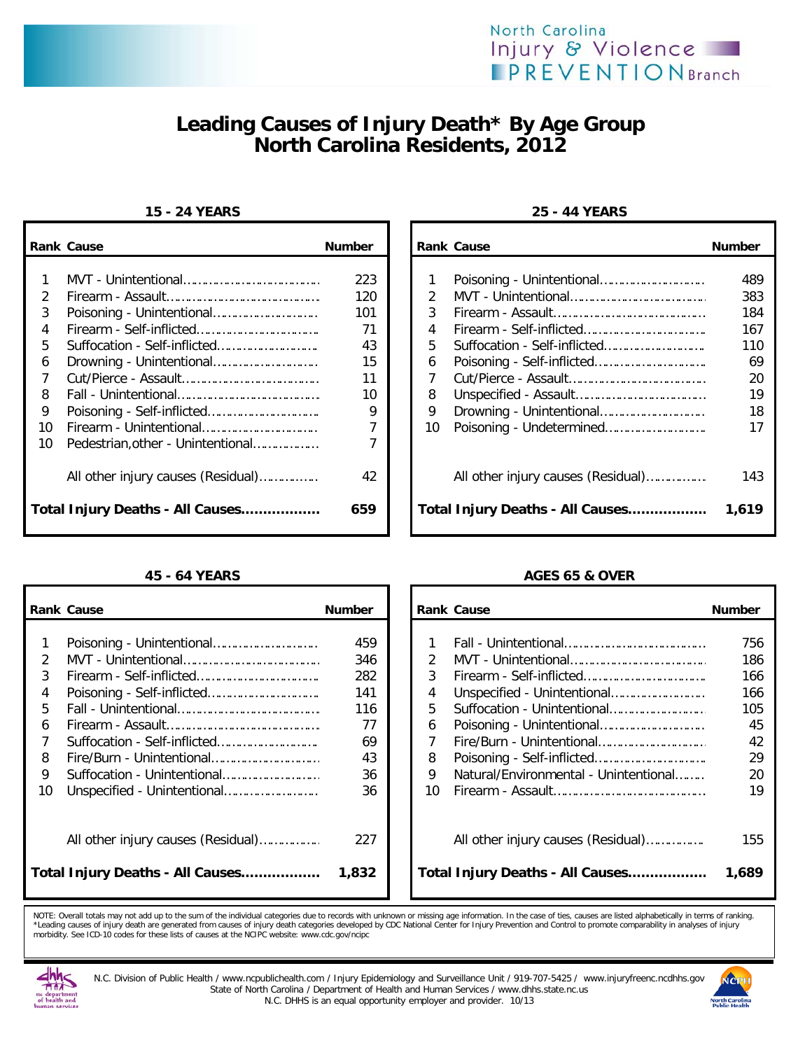



# **Leading Causes of Injury Death\* By Age Group North Carolina Residents, 2012**

|                         | <b>Rank Cause</b>                                                                                           | <b>Number</b>             |                         | <b>Rank Cause</b> |                                                                        | <b>Number</b>                     |
|-------------------------|-------------------------------------------------------------------------------------------------------------|---------------------------|-------------------------|-------------------|------------------------------------------------------------------------|-----------------------------------|
| $\mathcal{P}$<br>3      |                                                                                                             | 223<br>120<br>101<br>71   | 2<br>3<br>4             |                   |                                                                        | 489<br>383<br>184<br>167          |
| 5.<br>6<br>8<br>9<br>10 |                                                                                                             | 43<br>15<br>11<br>10<br>9 | 5.<br>6<br>8<br>9<br>10 |                   |                                                                        | 11C<br>69<br>20<br>19<br>18<br>17 |
| 10                      | Pedestrian, other - Unintentional<br>All other injury causes (Residual)<br>Total Injury Deaths - All Causes | 42<br>659                 |                         |                   | All other injury causes (Residual)<br>Total Injury Deaths - All Causes | 143<br>1,619                      |

|    | <b>Rank Cause</b>                  | <b>Number</b> |    | <b>Rank Cause</b>                     | <b>Number</b> |
|----|------------------------------------|---------------|----|---------------------------------------|---------------|
|    |                                    |               |    |                                       |               |
|    |                                    | 459           |    |                                       | 756           |
|    |                                    | 346           | 2  |                                       | 186           |
|    |                                    | 282           | 3  |                                       | 166           |
| 4  |                                    | 141           | 4  |                                       | 166           |
| 5. |                                    | 116           | 5. |                                       | 105           |
| 6  |                                    | 77            | 6  |                                       | 45            |
|    |                                    | 69            |    |                                       | 42            |
| 8  |                                    | 43            | 8  |                                       | 29            |
| 9  |                                    | 36            | 9  | Natural/Environmental - Unintentional | 20            |
| 10 |                                    | 36            | 10 |                                       | 19            |
|    | All other injury causes (Residual) | 227           |    | All other injury causes (Residual)    | 155           |
|    | Total Injury Deaths - All Causes   | 1,832         |    | Total Injury Deaths - All Causes      | 1,689         |

## **15 - 24 YEARS 25 - 44 YEARS**

| Cause                              | <b>Number</b> |               | <b>Rank Cause</b>                  | <b>Number</b> |
|------------------------------------|---------------|---------------|------------------------------------|---------------|
|                                    |               |               |                                    |               |
|                                    | 223           |               |                                    | 489           |
|                                    | 120           | $\mathcal{P}$ |                                    | 383           |
| Poisoning - Unintentional          | 101           | 3             |                                    | 184           |
|                                    | 71            | 4             |                                    | 167           |
| Suffocation - Self-inflicted       | 43            | 5             |                                    | 110           |
| Drowning - Unintentional           | 15            | 6             |                                    | 69            |
|                                    | 11            |               |                                    | 20            |
|                                    | 10            | 8             |                                    | 19            |
| Poisoning - Self-inflicted         | 9             | 9             |                                    | 18            |
| Firearm - Unintentional            |               | 10            |                                    |               |
| Pedestrian, other - Unintentional  |               |               |                                    |               |
| All other injury causes (Residual) | 42            |               | All other injury causes (Residual) | 143           |
| Injury Deaths - All Causes         | 659           |               | Total Injury Deaths - All Causes   | 1,619         |

### **45 - 64 YEARS AGES 65 & OVER**

| Cause                              | <b>Number</b> |               | <b>Rank Cause</b>                     | <b>Number</b> |
|------------------------------------|---------------|---------------|---------------------------------------|---------------|
| Poisoning - Unintentional          | 459           |               |                                       | 756           |
|                                    | 346           | $\mathcal{P}$ |                                       | 186           |
|                                    |               |               |                                       |               |
|                                    | 282           | 3             |                                       | 166           |
| Poisoning - Self-inflicted         | 141           | 4             |                                       | 166           |
|                                    | 116           | 5             |                                       | 105           |
|                                    | 77            | 6             |                                       | 45            |
| Suffocation - Self-inflicted       | 69            | 7             |                                       | 42            |
| Fire/Burn - Unintentional          | 43            | 8             |                                       | 29            |
| Suffocation - Unintentional        | 36            | 9             | Natural/Environmental - Unintentional | 20            |
| Unspecified - Unintentional        | 36            | 10            |                                       | 19            |
| All other injury causes (Residual) | 227           |               |                                       | 155           |
| Injury Deaths - All Causes         | 1,832         |               | Total Injury Deaths - All Causes      | 1,689         |

NOTE: Overall totals may not add up to the sum of the individual categories due to records with unknown or missing age information. In the case of ties, causes are listed alphabetically in terms of ranking<br>\*Leading causes



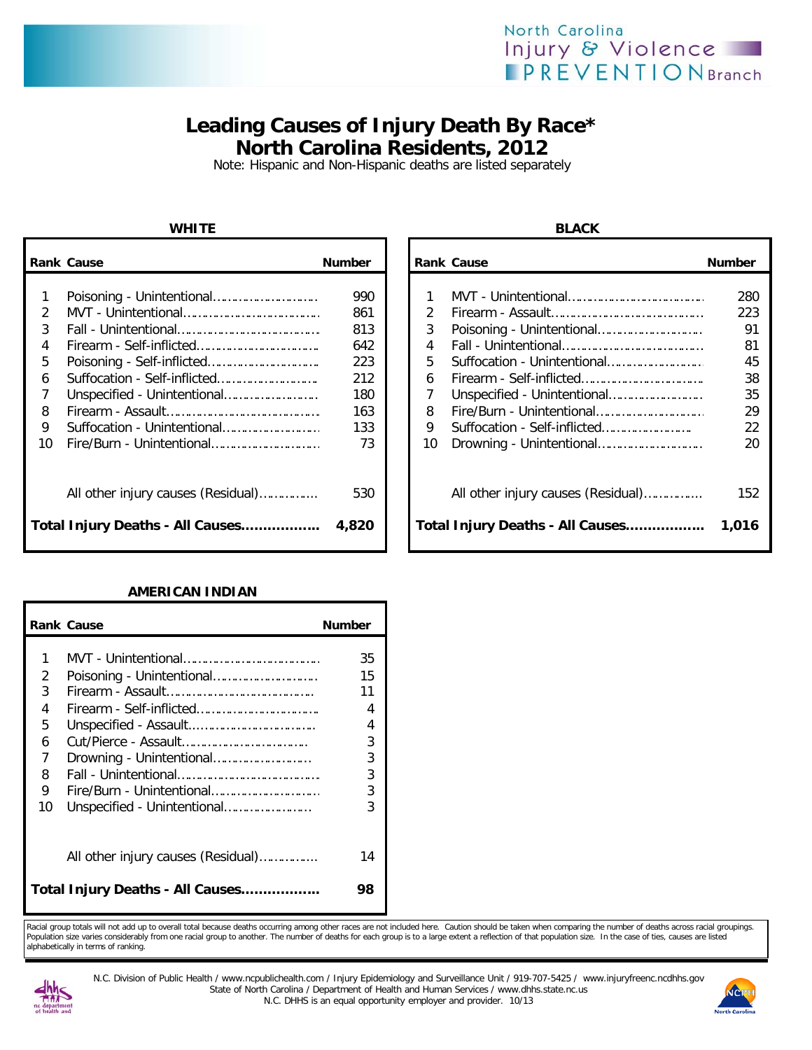## North Carolina Injury & Violence **IPREVENTIONBranch**

## **Leading Causes of Injury Death By Race\* North Carolina Residents, 2012**

Note: Hispanic and Non-Hispanic deaths are listed separately

## **WHITE BLACK**

|    | <b>Rank Cause</b>                  | <b>Number</b> |               | <b>Rank Cause</b> |                                    | <b>Number</b> |
|----|------------------------------------|---------------|---------------|-------------------|------------------------------------|---------------|
|    |                                    | 990           |               |                   |                                    | 280           |
|    |                                    | 861           | $\mathcal{P}$ |                   |                                    | 223           |
| 3  |                                    | 813           | 3             |                   |                                    | 91            |
| 4  |                                    | 642           | 4             |                   |                                    | 81            |
| 5  |                                    | 223           | 5.            |                   |                                    | 45            |
| 6  |                                    | 212           | 6             |                   |                                    | 38            |
|    |                                    | 180           |               |                   |                                    | 35            |
| 8  |                                    | 163           | 8             |                   |                                    | 29            |
| 9  | Suffocation - Unintentional        | 133           | 9             |                   | Suffocation - Self-inflicted       | 22            |
| 10 |                                    | 73            | 10            |                   |                                    | 20            |
|    | All other injury causes (Residual) | 530           |               |                   | All other injury causes (Residual) | 152           |
|    | Total Injury Deaths - All Causes   | 4,820         |               |                   | Total Injury Deaths - All Causes   | 1,016         |

### **AMERICAN INDIAN**

|    | <b>Rank Cause</b>                  | <b>Number</b> |
|----|------------------------------------|---------------|
| 1  |                                    | 35            |
| 2  |                                    | 15            |
| 3  |                                    | 11            |
| 4  |                                    | 4             |
| 5  |                                    | 4             |
| 6  |                                    | 3             |
| 7  | Drowning - Unintentional           | 3             |
| 8  |                                    | 3             |
| 9  | Fire/Burn - Unintentional          | 3             |
| 10 | Unspecified - Unintentional        | 3             |
|    | All other injury causes (Residual) | 14            |
|    | Total Injury Deaths - All Causes   | 98            |

| Cause                              | <b>Number</b> |               | <b>Rank Cause</b>                  | <b>Number</b> |
|------------------------------------|---------------|---------------|------------------------------------|---------------|
|                                    |               |               |                                    |               |
| Poisoning - Unintentional          | 990           |               |                                    | 280           |
|                                    | 861           | $\mathcal{P}$ |                                    | 223           |
|                                    | 813           | 3             |                                    | 91            |
|                                    | 642           | 4             |                                    | 81            |
|                                    | 223           | 5             | Suffocation - Unintentional        | 45            |
| Suffocation - Self-inflicted       | 212           | 6             |                                    | 38            |
| Unspecified - Unintentional        | 180           |               |                                    | 35            |
|                                    | 163           | 8             |                                    | 29            |
| Suffocation - Unintentional        | 133           | 9             | Suffocation - Self-inflicted       | 22            |
| Fire/Burn - Unintentional          | 73            | 10            |                                    | 20            |
| All other injury causes (Residual) | 530           |               | All other injury causes (Residual) | 152           |
| Injury Deaths - All Causes         | 4,820         |               | Total Injury Deaths - All Causes   | 1,016         |

Racial group totals will not add up to overall total because deaths occurring among other races are not included here. Caution should be taken when comparing the number of deaths across racial groupings. Population size varies considerably from one racial group to another. The number of deaths for each group is to a large extent a reflection of that population size. In the case of ties, causes are listed alphabetically in terms of ranking.



N.C. Division of Public Health / www.ncpublichealth.com / Injury Epidemiology and Surveillance Unit / 919-707-5425 / www.injuryfreenc.ncdhhs.gov State of North Carolina / Department of Health and Human Services / www.dhhs.state.nc.us N.C. DHHS is an equal opportunity employer and provider. 10/13